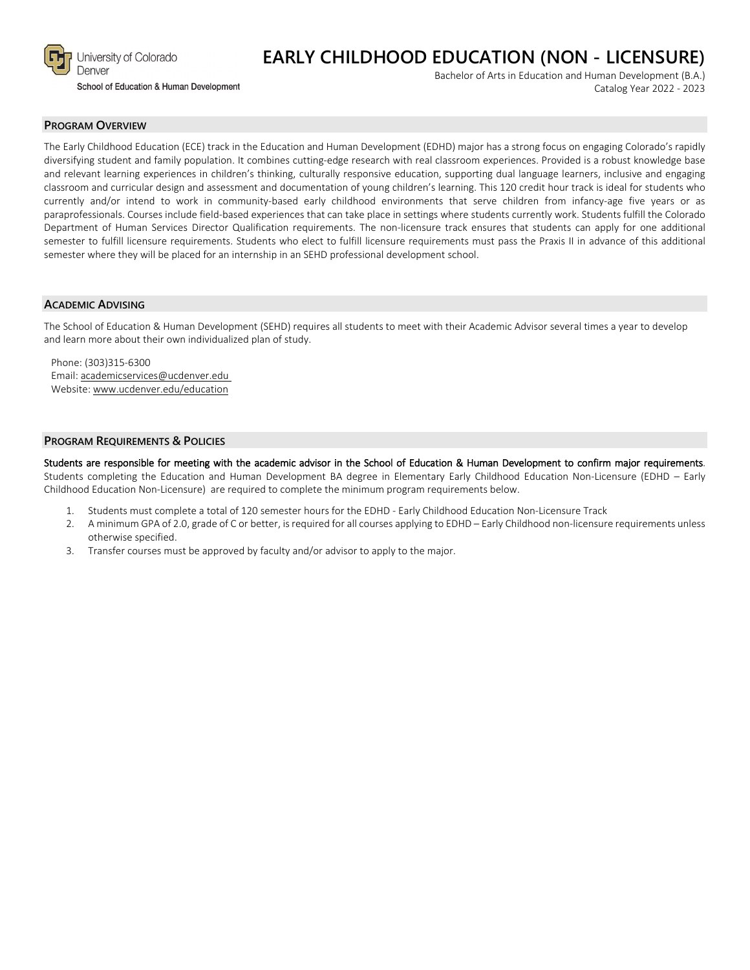

# **EARLY CHILDHOOD EDUCATION (NON - LICENSURE)**

School of Education & Human Development

Bachelor of Arts in Education and Human Development (B.A.) Catalog Year 2022 - 2023

#### **PROGRAM OVERVIEW**

The Early Childhood Education (ECE) track in the Education and Human Development (EDHD) major has a strong focus on engaging Colorado's rapidly diversifying student and family population. It combines cutting-edge research with real classroom experiences. Provided is a robust knowledge base and relevant learning experiences in children's thinking, culturally responsive education, supporting dual language learners, inclusive and engaging classroom and curricular design and assessment and documentation of young children's learning. This 120 credit hour track is ideal for students who currently and/or intend to work in community-based early childhood environments that serve children from infancy-age five years or as paraprofessionals. Courses include field-based experiences that can take place in settings where students currently work. Students fulfill the Colorado Department of Human Services Director Qualification requirements. The non-licensure track ensures that students can apply for one additional semester to fulfill licensure requirements. Students who elect to fulfill licensure requirements must pass the Praxis II in advance of this additional semester where they will be placed for an internship in an SEHD professional development school.

#### **ACADEMIC ADVISING**

The School of Education & Human Development (SEHD) requires all students to meet with their Academic Advisor several times a year to develop and learn more about their own individualized plan of study.

Phone: (303)315-6300 Email: [academicservices@ucdenver.edu](mailto:academicservices@ucdenver.edu) Website[: www.ucdenver.edu/education](http://www.ucdenver.edu/education)

#### **PROGRAM REQUIREMENTS & POLICIES**

Students are responsible for meeting with the academic advisor in the School of Education & Human Development to confirm major requirements. Students completing the Education and Human Development BA degree in Elementary Early Childhood Education Non-Licensure (EDHD – Early Childhood Education Non-Licensure) are required to complete the minimum program requirements below.

- 1. Students must complete a total of 120 semester hours for the EDHD Early Childhood Education Non-Licensure Track
- 2. A minimum GPA of 2.0, grade of C or better, is required for all courses applying to EDHD Early Childhood non-licensure requirements unless otherwise specified.
- 3. Transfer courses must be approved by faculty and/or advisor to apply to the major.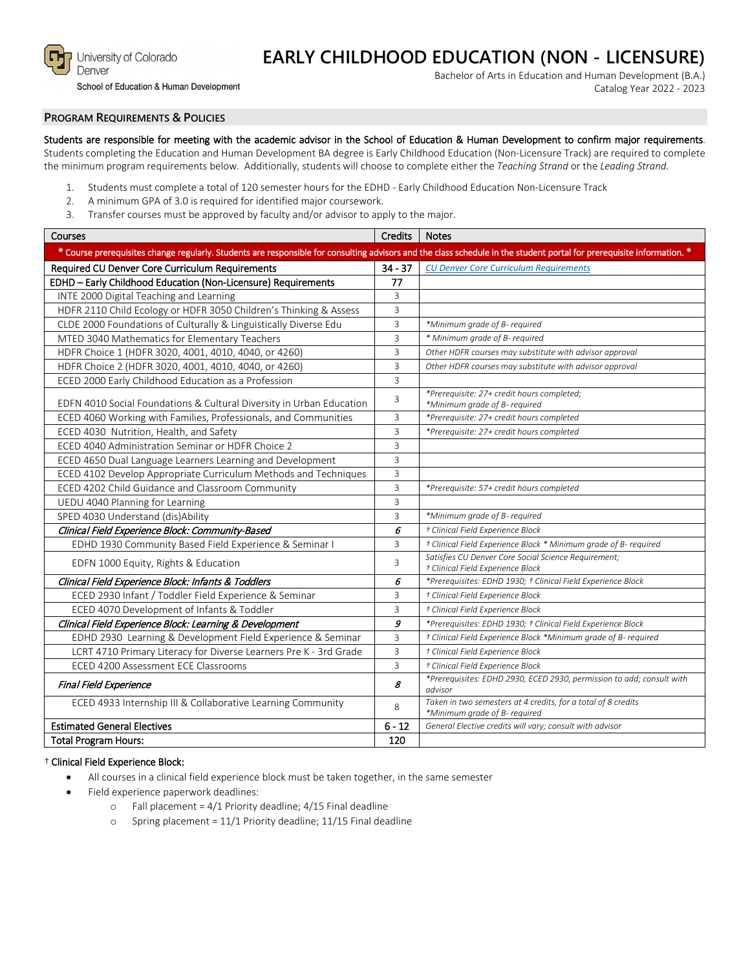

#### School of Education & Human Development

# **EARLY CHILDHOOD EDUCATION (NON - LICENSURE)**

Bachelor of Arts in Education and Human Development (B.A.) Catalog Year 2022 - 2023

## **PROGRAM REQUIREMENTS & POLICIES**

# Students are responsible for meeting with the academic advisor in the School of Education & Human Development to confirm major requirements.

Students completing the Education and Human Development BA degree is Early Childhood Education (Non-Licensure Track) are required to complete the minimum program requirements below. Additionally, students will choose to complete either the *Teaching Strand* or the *Leading Strand.*

- 1. Students must complete a total of 120 semester hours for the EDHD Early Childhood Education Non-Licensure Track
- 2. A minimum GPA of 3.0 is required for identified major coursework.
- 3. Transfer courses must be approved by faculty and/or advisor to apply to the major.

| Courses                                                                                                                                                                | Credits        | <b>Notes</b>                                                                                   |
|------------------------------------------------------------------------------------------------------------------------------------------------------------------------|----------------|------------------------------------------------------------------------------------------------|
| * Course prerequisites change regularly. Students are responsible for consulting advisors and the class schedule in the student portal for prerequisite information. * |                |                                                                                                |
| Required CU Denver Core Curriculum Requirements                                                                                                                        | $34 - 37$      | <b>CU Denver Core Curriculum Requirements</b>                                                  |
| EDHD - Early Childhood Education (Non-Licensure) Requirements                                                                                                          | 77             |                                                                                                |
| INTE 2000 Digital Teaching and Learning                                                                                                                                | 3              |                                                                                                |
| HDFR 2110 Child Ecology or HDFR 3050 Children's Thinking & Assess                                                                                                      | 3              |                                                                                                |
| CLDE 2000 Foundations of Culturally & Linguistically Diverse Edu                                                                                                       | 3              | *Minimum grade of B- required                                                                  |
| MTED 3040 Mathematics for Elementary Teachers                                                                                                                          | 3              | * Minimum grade of B- required                                                                 |
| HDFR Choice 1 (HDFR 3020, 4001, 4010, 4040, or 4260)                                                                                                                   | 3              | Other HDFR courses may substitute with advisor approval                                        |
| HDFR Choice 2 (HDFR 3020, 4001, 4010, 4040, or 4260)                                                                                                                   | 3              | Other HDFR courses may substitute with advisor approval                                        |
| ECED 2000 Early Childhood Education as a Profession                                                                                                                    | 3              |                                                                                                |
| EDFN 4010 Social Foundations & Cultural Diversity in Urban Education                                                                                                   | 3              | *Prerequisite: 27+ credit hours completed;<br>*Minimum grade of B- required                    |
| ECED 4060 Working with Families, Professionals, and Communities                                                                                                        | 3              | *Prerequisite: 27+ credit hours completed                                                      |
| ECED 4030 Nutrition, Health, and Safety                                                                                                                                | 3              | *Prerequisite: 27+ credit hours completed                                                      |
| ECED 4040 Administration Seminar or HDFR Choice 2                                                                                                                      | $\overline{3}$ |                                                                                                |
| ECED 4650 Dual Language Learners Learning and Development                                                                                                              | 3              |                                                                                                |
| ECED 4102 Develop Appropriate Curriculum Methods and Techniques                                                                                                        | 3              |                                                                                                |
| ECED 4202 Child Guidance and Classroom Community                                                                                                                       | 3              | *Prerequisite: 57+ credit hours completed                                                      |
| UEDU 4040 Planning for Learning                                                                                                                                        | 3              |                                                                                                |
| SPED 4030 Understand (dis)Ability                                                                                                                                      | $\overline{3}$ | *Minimum grade of B- required                                                                  |
| Clinical Field Experience Block: Community-Based                                                                                                                       | 6              | † Clinical Field Experience Block                                                              |
| EDHD 1930 Community Based Field Experience & Seminar I                                                                                                                 | 3              | † Clinical Field Experience Block * Minimum grade of B- required                               |
| EDFN 1000 Equity, Rights & Education                                                                                                                                   | 3              | Satisfies CU Denver Core Social Science Requirement;<br>† Clinical Field Experience Block      |
| Clinical Field Experience Block: Infants & Toddlers                                                                                                                    | 6              | *Prerequisites: EDHD 1930; † Clinical Field Experience Block                                   |
| ECED 2930 Infant / Toddler Field Experience & Seminar                                                                                                                  | 3              | † Clinical Field Experience Block                                                              |
| ECED 4070 Development of Infants & Toddler                                                                                                                             | 3              | † Clinical Field Experience Block                                                              |
| Clinical Field Experience Block: Learning & Development                                                                                                                | 9              | *Prerequisites: EDHD 1930; † Clinical Field Experience Block                                   |
| EDHD 2930 Learning & Development Field Experience & Seminar                                                                                                            | 3              | † Clinical Field Experience Block *Minimum grade of B- required                                |
| LCRT 4710 Primary Literacy for Diverse Learners Pre K - 3rd Grade                                                                                                      | 3              | † Clinical Field Experience Block                                                              |
| ECED 4200 Assessment ECE Classrooms                                                                                                                                    | 3              | † Clinical Field Experience Block                                                              |
| Final Field Experience                                                                                                                                                 | 8              | *Prerequisites: EDHD 2930, ECED 2930, permission to add; consult with<br>advisor               |
| ECED 4933 Internship III & Collaborative Learning Community                                                                                                            | 8              | Taken in two semesters at 4 credits, for a total of 8 credits<br>*Minimum grade of B- required |
| <b>Estimated General Electives</b>                                                                                                                                     | $6 - 12$       | General Elective credits will vary; consult with advisor                                       |
| <b>Total Program Hours:</b>                                                                                                                                            | 120            |                                                                                                |

## † Clinical Field Experience Block:

- All courses in a clinical field experience block must be taken together, in the same semester
- Field experience paperwork deadlines:
	- $\circ$  Fall placement = 4/1 Priority deadline; 4/15 Final deadline
	- o Spring placement = 11/1 Priority deadline; 11/15 Final deadline